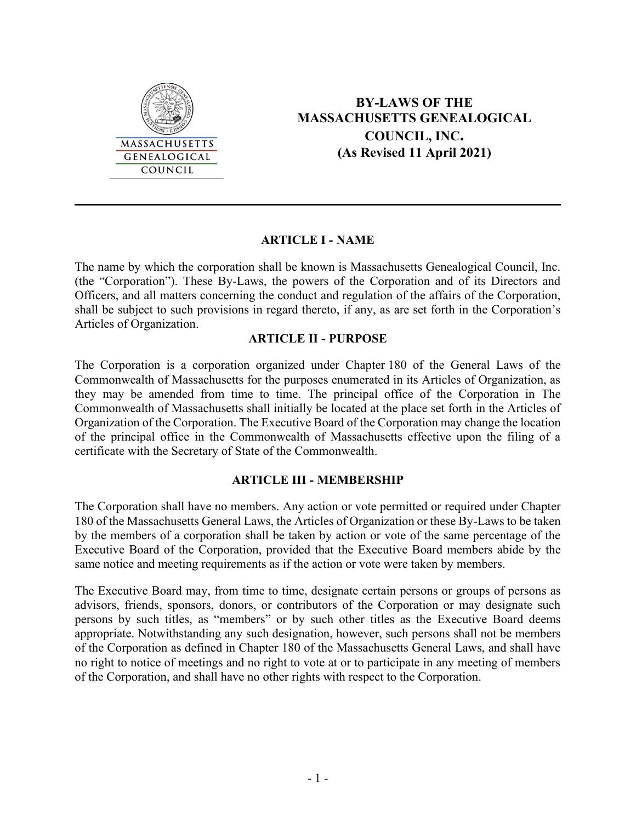

# **BY-LAWS OF THE MASSACHUSETTS GENEALOGICAL COUNCIL, INC. (As Revised 11 April 2021)**

### **ARTICLE I - NAME**

The name by which the corporation shall be known is Massachusetts Genealogical Council, Inc. (the "Corporation"). These By-Laws, the powers of the Corporation and of its Directors and Officers, and all matters concerning the conduct and regulation of the affairs of the Corporation, shall be subject to such provisions in regard thereto, if any, as are set forth in the Corporation's Articles of Organization.

### **ARTICLE II - PURPOSE**

The Corporation is a corporation organized under Chapter 180 of the General Laws of the Commonwealth of Massachusetts for the purposes enumerated in its Articles of Organization, as they may be amended from time to time. The principal office of the Corporation in The Commonwealth of Massachusetts shall initially be located at the place set forth in the Articles of Organization of the Corporation. The Executive Board of the Corporation may change the location of the principal office in the Commonwealth of Massachusetts effective upon the filing of a certificate with the Secretary of State of the Commonwealth.

# **ARTICLE III - MEMBERSHIP**

The Corporation shall have no members. Any action or vote permitted or required under Chapter 180 of the Massachusetts General Laws, the Articles of Organization or these By-Laws to be taken by the members of a corporation shall be taken by action or vote of the same percentage of the Executive Board of the Corporation, provided that the Executive Board members abide by the same notice and meeting requirements as if the action or vote were taken by members.

The Executive Board may, from time to time, designate certain persons or groups of persons as advisors, friends, sponsors, donors, or contributors of the Corporation or may designate such persons by such titles, as "members" or by such other titles as the Executive Board deems appropriate. Notwithstanding any such designation, however, such persons shall not be members of the Corporation as defined in Chapter 180 of the Massachusetts General Laws, and shall have no right to notice of meetings and no right to vote at or to participate in any meeting of members of the Corporation, and shall have no other rights with respect to the Corporation.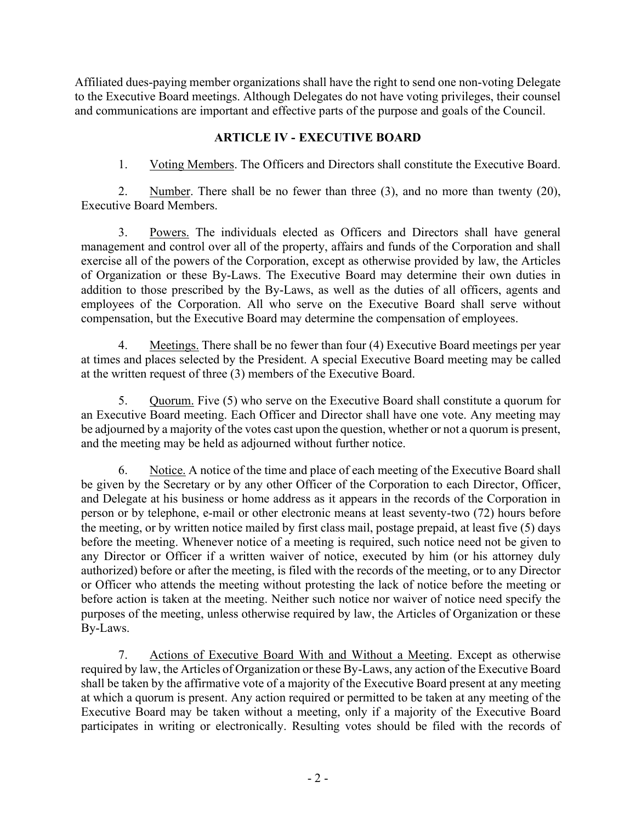Affiliated dues-paying member organizations shall have the right to send one non-voting Delegate to the Executive Board meetings. Although Delegates do not have voting privileges, their counsel and communications are important and effective parts of the purpose and goals of the Council.

# **ARTICLE IV - EXECUTIVE BOARD**

1. Voting Members. The Officers and Directors shall constitute the Executive Board.

2. Number. There shall be no fewer than three (3), and no more than twenty (20), Executive Board Members.

3. Powers. The individuals elected as Officers and Directors shall have general management and control over all of the property, affairs and funds of the Corporation and shall exercise all of the powers of the Corporation, except as otherwise provided by law, the Articles of Organization or these By-Laws. The Executive Board may determine their own duties in addition to those prescribed by the By-Laws, as well as the duties of all officers, agents and employees of the Corporation. All who serve on the Executive Board shall serve without compensation, but the Executive Board may determine the compensation of employees.

4. Meetings. There shall be no fewer than four (4) Executive Board meetings per year at times and places selected by the President. A special Executive Board meeting may be called at the written request of three (3) members of the Executive Board.

5. Quorum. Five (5) who serve on the Executive Board shall constitute a quorum for an Executive Board meeting. Each Officer and Director shall have one vote. Any meeting may be adjourned by a majority of the votes cast upon the question, whether or not a quorum is present, and the meeting may be held as adjourned without further notice.

6. Notice. A notice of the time and place of each meeting of the Executive Board shall be given by the Secretary or by any other Officer of the Corporation to each Director, Officer, and Delegate at his business or home address as it appears in the records of the Corporation in person or by telephone, e-mail or other electronic means at least seventy-two (72) hours before the meeting, or by written notice mailed by first class mail, postage prepaid, at least five (5) days before the meeting. Whenever notice of a meeting is required, such notice need not be given to any Director or Officer if a written waiver of notice, executed by him (or his attorney duly authorized) before or after the meeting, is filed with the records of the meeting, or to any Director or Officer who attends the meeting without protesting the lack of notice before the meeting or before action is taken at the meeting. Neither such notice nor waiver of notice need specify the purposes of the meeting, unless otherwise required by law, the Articles of Organization or these By-Laws.

7. Actions of Executive Board With and Without a Meeting. Except as otherwise required by law, the Articles of Organization or these By-Laws, any action of the Executive Board shall be taken by the affirmative vote of a majority of the Executive Board present at any meeting at which a quorum is present. Any action required or permitted to be taken at any meeting of the Executive Board may be taken without a meeting, only if a majority of the Executive Board participates in writing or electronically. Resulting votes should be filed with the records of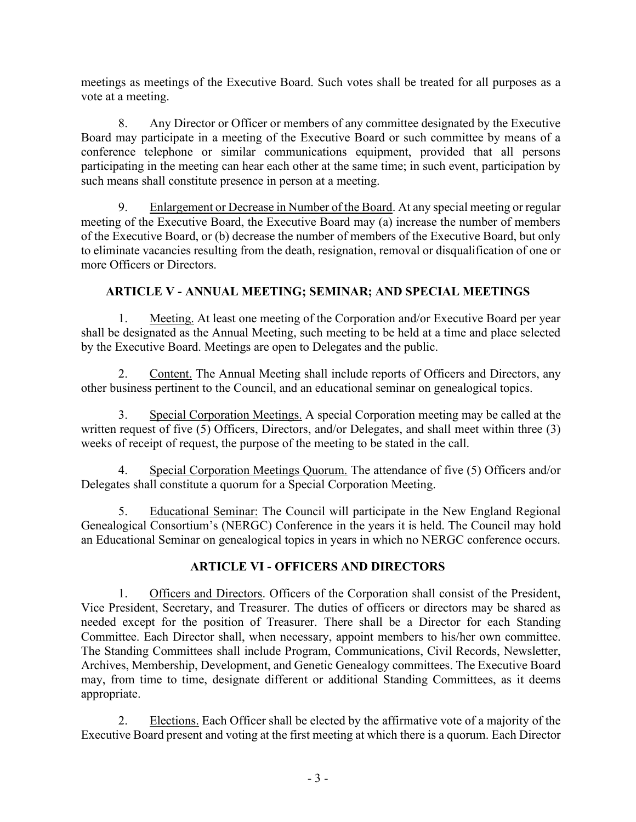meetings as meetings of the Executive Board. Such votes shall be treated for all purposes as a vote at a meeting.

8. Any Director or Officer or members of any committee designated by the Executive Board may participate in a meeting of the Executive Board or such committee by means of a conference telephone or similar communications equipment, provided that all persons participating in the meeting can hear each other at the same time; in such event, participation by such means shall constitute presence in person at a meeting.

9. Enlargement or Decrease in Number of the Board. At any special meeting or regular meeting of the Executive Board, the Executive Board may (a) increase the number of members of the Executive Board, or (b) decrease the number of members of the Executive Board, but only to eliminate vacancies resulting from the death, resignation, removal or disqualification of one or more Officers or Directors.

# **ARTICLE V - ANNUAL MEETING; SEMINAR; AND SPECIAL MEETINGS**

1. Meeting. At least one meeting of the Corporation and/or Executive Board per year shall be designated as the Annual Meeting, such meeting to be held at a time and place selected by the Executive Board. Meetings are open to Delegates and the public.

2. Content. The Annual Meeting shall include reports of Officers and Directors, any other business pertinent to the Council, and an educational seminar on genealogical topics.

3. Special Corporation Meetings. A special Corporation meeting may be called at the written request of five (5) Officers, Directors, and/or Delegates, and shall meet within three (3) weeks of receipt of request, the purpose of the meeting to be stated in the call.

4. Special Corporation Meetings Quorum. The attendance of five (5) Officers and/or Delegates shall constitute a quorum for a Special Corporation Meeting.

5. Educational Seminar: The Council will participate in the New England Regional Genealogical Consortium's (NERGC) Conference in the years it is held. The Council may hold an Educational Seminar on genealogical topics in years in which no NERGC conference occurs.

# **ARTICLE VI - OFFICERS AND DIRECTORS**

1. Officers and Directors. Officers of the Corporation shall consist of the President, Vice President, Secretary, and Treasurer. The duties of officers or directors may be shared as needed except for the position of Treasurer. There shall be a Director for each Standing Committee. Each Director shall, when necessary, appoint members to his/her own committee. The Standing Committees shall include Program, Communications, Civil Records, Newsletter, Archives, Membership, Development, and Genetic Genealogy committees. The Executive Board may, from time to time, designate different or additional Standing Committees, as it deems appropriate.

2. Elections. Each Officer shall be elected by the affirmative vote of a majority of the Executive Board present and voting at the first meeting at which there is a quorum. Each Director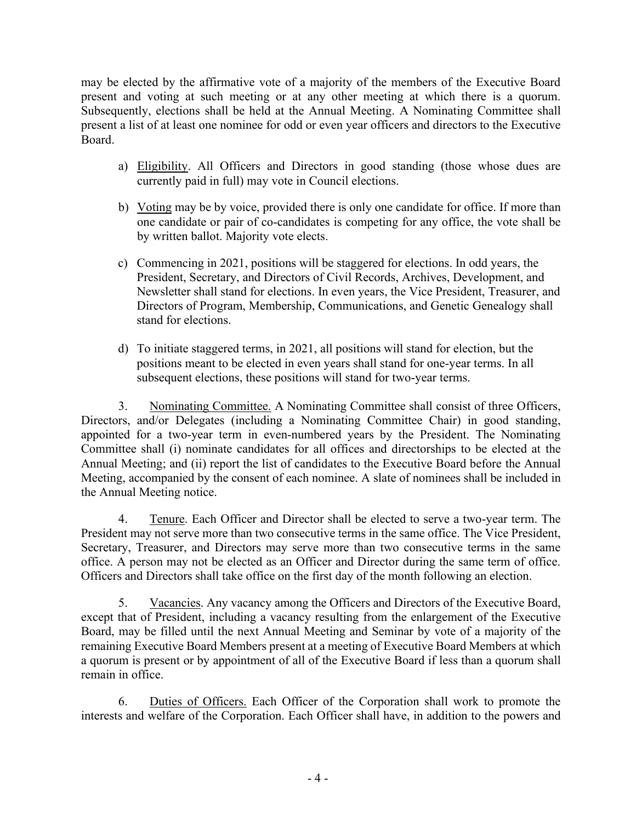may be elected by the affirmative vote of a majority of the members of the Executive Board present and voting at such meeting or at any other meeting at which there is a quorum. Subsequently, elections shall be held at the Annual Meeting. A Nominating Committee shall present a list of at least one nominee for odd or even year officers and directors to the Executive Board.

- a) Eligibility. All Officers and Directors in good standing (those whose dues are currently paid in full) may vote in Council elections.
- b) Voting may be by voice, provided there is only one candidate for office. If more than one candidate or pair of co-candidates is competing for any office, the vote shall be by written ballot. Majority vote elects.
- c) Commencing in 2021, positions will be staggered for elections. In odd years, the President, Secretary, and Directors of Civil Records, Archives, Development, and Newsletter shall stand for elections. In even years, the Vice President, Treasurer, and Directors of Program, Membership, Communications, and Genetic Genealogy shall stand for elections.
- d) To initiate staggered terms, in 2021, all positions will stand for election, but the positions meant to be elected in even years shall stand for one-year terms. In all subsequent elections, these positions will stand for two-year terms.

3. Nominating Committee. A Nominating Committee shall consist of three Officers, Directors, and/or Delegates (including a Nominating Committee Chair) in good standing, appointed for a two-year term in even-numbered years by the President. The Nominating Committee shall (i) nominate candidates for all offices and directorships to be elected at the Annual Meeting; and (ii) report the list of candidates to the Executive Board before the Annual Meeting, accompanied by the consent of each nominee. A slate of nominees shall be included in the Annual Meeting notice.

4. Tenure. Each Officer and Director shall be elected to serve a two-year term. The President may not serve more than two consecutive terms in the same office. The Vice President, Secretary, Treasurer, and Directors may serve more than two consecutive terms in the same office. A person may not be elected as an Officer and Director during the same term of office. Officers and Directors shall take office on the first day of the month following an election.

5. Vacancies. Any vacancy among the Officers and Directors of the Executive Board, except that of President, including a vacancy resulting from the enlargement of the Executive Board, may be filled until the next Annual Meeting and Seminar by vote of a majority of the remaining Executive Board Members present at a meeting of Executive Board Members at which a quorum is present or by appointment of all of the Executive Board if less than a quorum shall remain in office.

6. Duties of Officers. Each Officer of the Corporation shall work to promote the interests and welfare of the Corporation. Each Officer shall have, in addition to the powers and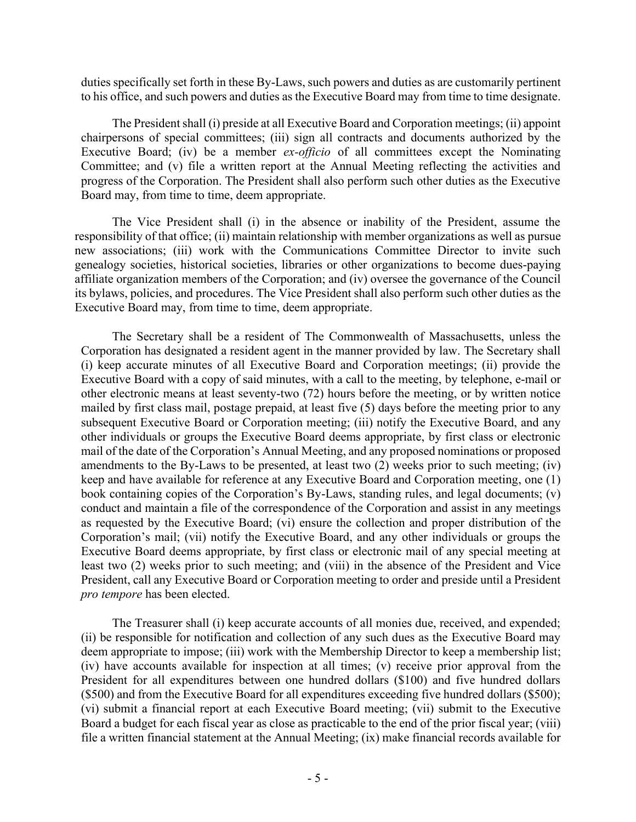duties specifically set forth in these By-Laws, such powers and duties as are customarily pertinent to his office, and such powers and duties as the Executive Board may from time to time designate.

The President shall (i) preside at all Executive Board and Corporation meetings; (ii) appoint chairpersons of special committees; (iii) sign all contracts and documents authorized by the Executive Board; (iv) be a member *ex-officio* of all committees except the Nominating Committee; and (v) file a written report at the Annual Meeting reflecting the activities and progress of the Corporation. The President shall also perform such other duties as the Executive Board may, from time to time, deem appropriate.

The Vice President shall (i) in the absence or inability of the President, assume the responsibility of that office; (ii) maintain relationship with member organizations as well as pursue new associations; (iii) work with the Communications Committee Director to invite such genealogy societies, historical societies, libraries or other organizations to become dues-paying affiliate organization members of the Corporation; and (iv) oversee the governance of the Council its bylaws, policies, and procedures. The Vice President shall also perform such other duties as the Executive Board may, from time to time, deem appropriate.

The Secretary shall be a resident of The Commonwealth of Massachusetts, unless the Corporation has designated a resident agent in the manner provided by law. The Secretary shall (i) keep accurate minutes of all Executive Board and Corporation meetings; (ii) provide the Executive Board with a copy of said minutes, with a call to the meeting, by telephone, e-mail or other electronic means at least seventy-two (72) hours before the meeting, or by written notice mailed by first class mail, postage prepaid, at least five (5) days before the meeting prior to any subsequent Executive Board or Corporation meeting; (iii) notify the Executive Board, and any other individuals or groups the Executive Board deems appropriate, by first class or electronic mail of the date of the Corporation's Annual Meeting, and any proposed nominations or proposed amendments to the By-Laws to be presented, at least two (2) weeks prior to such meeting; (iv) keep and have available for reference at any Executive Board and Corporation meeting, one (1) book containing copies of the Corporation's By-Laws, standing rules, and legal documents; (v) conduct and maintain a file of the correspondence of the Corporation and assist in any meetings as requested by the Executive Board; (vi) ensure the collection and proper distribution of the Corporation's mail; (vii) notify the Executive Board, and any other individuals or groups the Executive Board deems appropriate, by first class or electronic mail of any special meeting at least two (2) weeks prior to such meeting; and (viii) in the absence of the President and Vice President, call any Executive Board or Corporation meeting to order and preside until a President *pro tempore* has been elected.

The Treasurer shall (i) keep accurate accounts of all monies due, received, and expended; (ii) be responsible for notification and collection of any such dues as the Executive Board may deem appropriate to impose; (iii) work with the Membership Director to keep a membership list; (iv) have accounts available for inspection at all times; (v) receive prior approval from the President for all expenditures between one hundred dollars (\$100) and five hundred dollars (\$500) and from the Executive Board for all expenditures exceeding five hundred dollars (\$500); (vi) submit a financial report at each Executive Board meeting; (vii) submit to the Executive Board a budget for each fiscal year as close as practicable to the end of the prior fiscal year; (viii) file a written financial statement at the Annual Meeting; (ix) make financial records available for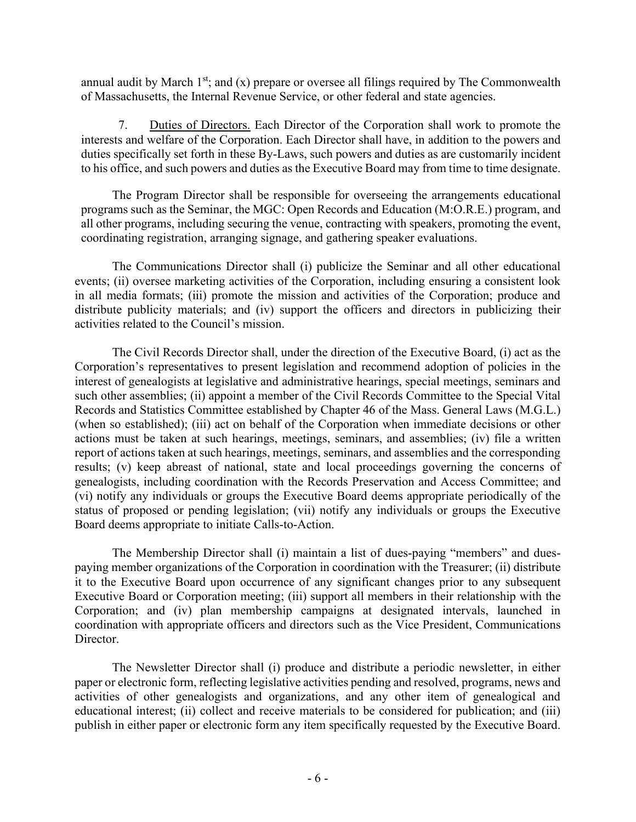annual audit by March  $1<sup>st</sup>$ ; and (x) prepare or oversee all filings required by The Commonwealth of Massachusetts, the Internal Revenue Service, or other federal and state agencies.

7. Duties of Directors. Each Director of the Corporation shall work to promote the interests and welfare of the Corporation. Each Director shall have, in addition to the powers and duties specifically set forth in these By-Laws, such powers and duties as are customarily incident to his office, and such powers and duties as the Executive Board may from time to time designate.

The Program Director shall be responsible for overseeing the arrangements educational programs such as the Seminar, the MGC: Open Records and Education (M:O.R.E.) program, and all other programs, including securing the venue, contracting with speakers, promoting the event, coordinating registration, arranging signage, and gathering speaker evaluations.

The Communications Director shall (i) publicize the Seminar and all other educational events; (ii) oversee marketing activities of the Corporation, including ensuring a consistent look in all media formats; (iii) promote the mission and activities of the Corporation; produce and distribute publicity materials; and (iv) support the officers and directors in publicizing their activities related to the Council's mission.

The Civil Records Director shall, under the direction of the Executive Board, (i) act as the Corporation's representatives to present legislation and recommend adoption of policies in the interest of genealogists at legislative and administrative hearings, special meetings, seminars and such other assemblies; (ii) appoint a member of the Civil Records Committee to the Special Vital Records and Statistics Committee established by Chapter 46 of the Mass. General Laws (M.G.L.) (when so established); (iii) act on behalf of the Corporation when immediate decisions or other actions must be taken at such hearings, meetings, seminars, and assemblies; (iv) file a written report of actions taken at such hearings, meetings, seminars, and assemblies and the corresponding results; (v) keep abreast of national, state and local proceedings governing the concerns of genealogists, including coordination with the Records Preservation and Access Committee; and (vi) notify any individuals or groups the Executive Board deems appropriate periodically of the status of proposed or pending legislation; (vii) notify any individuals or groups the Executive Board deems appropriate to initiate Calls-to-Action.

The Membership Director shall (i) maintain a list of dues-paying "members" and duespaying member organizations of the Corporation in coordination with the Treasurer; (ii) distribute it to the Executive Board upon occurrence of any significant changes prior to any subsequent Executive Board or Corporation meeting; (iii) support all members in their relationship with the Corporation; and (iv) plan membership campaigns at designated intervals, launched in coordination with appropriate officers and directors such as the Vice President, Communications Director.

The Newsletter Director shall (i) produce and distribute a periodic newsletter, in either paper or electronic form, reflecting legislative activities pending and resolved, programs, news and activities of other genealogists and organizations, and any other item of genealogical and educational interest; (ii) collect and receive materials to be considered for publication; and (iii) publish in either paper or electronic form any item specifically requested by the Executive Board.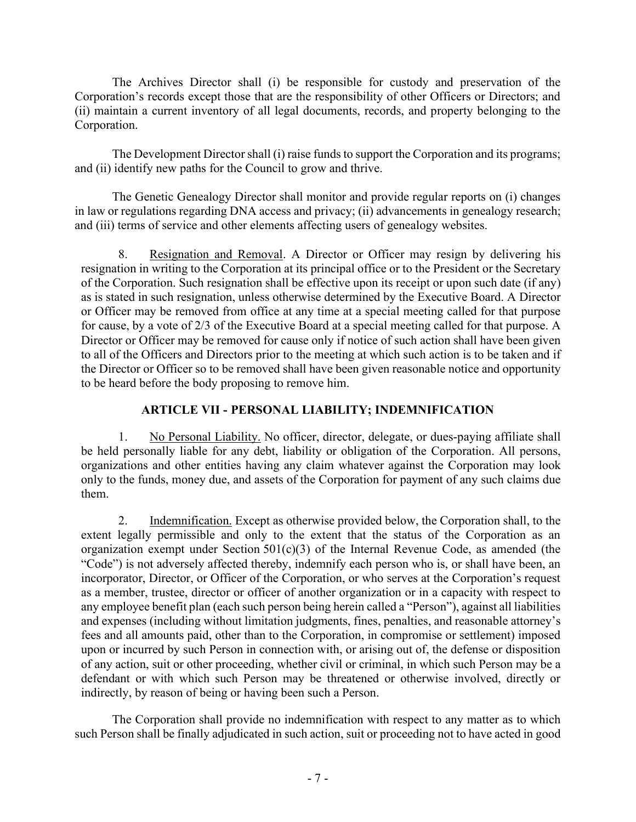The Archives Director shall (i) be responsible for custody and preservation of the Corporation's records except those that are the responsibility of other Officers or Directors; and (ii) maintain a current inventory of all legal documents, records, and property belonging to the Corporation.

The Development Director shall (i) raise funds to support the Corporation and its programs; and (ii) identify new paths for the Council to grow and thrive.

The Genetic Genealogy Director shall monitor and provide regular reports on (i) changes in law or regulations regarding DNA access and privacy; (ii) advancements in genealogy research; and (iii) terms of service and other elements affecting users of genealogy websites.

8. Resignation and Removal. A Director or Officer may resign by delivering his resignation in writing to the Corporation at its principal office or to the President or the Secretary of the Corporation. Such resignation shall be effective upon its receipt or upon such date (if any) as is stated in such resignation, unless otherwise determined by the Executive Board. A Director or Officer may be removed from office at any time at a special meeting called for that purpose for cause, by a vote of 2/3 of the Executive Board at a special meeting called for that purpose. A Director or Officer may be removed for cause only if notice of such action shall have been given to all of the Officers and Directors prior to the meeting at which such action is to be taken and if the Director or Officer so to be removed shall have been given reasonable notice and opportunity to be heard before the body proposing to remove him.

# **ARTICLE VII - PERSONAL LIABILITY; INDEMNIFICATION**

1. No Personal Liability. No officer, director, delegate, or dues-paying affiliate shall be held personally liable for any debt, liability or obligation of the Corporation. All persons, organizations and other entities having any claim whatever against the Corporation may look only to the funds, money due, and assets of the Corporation for payment of any such claims due them.

2. Indemnification. Except as otherwise provided below, the Corporation shall, to the extent legally permissible and only to the extent that the status of the Corporation as an organization exempt under Section  $501(c)(3)$  of the Internal Revenue Code, as amended (the "Code") is not adversely affected thereby, indemnify each person who is, or shall have been, an incorporator, Director, or Officer of the Corporation, or who serves at the Corporation's request as a member, trustee, director or officer of another organization or in a capacity with respect to any employee benefit plan (each such person being herein called a "Person"), against all liabilities and expenses (including without limitation judgments, fines, penalties, and reasonable attorney's fees and all amounts paid, other than to the Corporation, in compromise or settlement) imposed upon or incurred by such Person in connection with, or arising out of, the defense or disposition of any action, suit or other proceeding, whether civil or criminal, in which such Person may be a defendant or with which such Person may be threatened or otherwise involved, directly or indirectly, by reason of being or having been such a Person.

The Corporation shall provide no indemnification with respect to any matter as to which such Person shall be finally adjudicated in such action, suit or proceeding not to have acted in good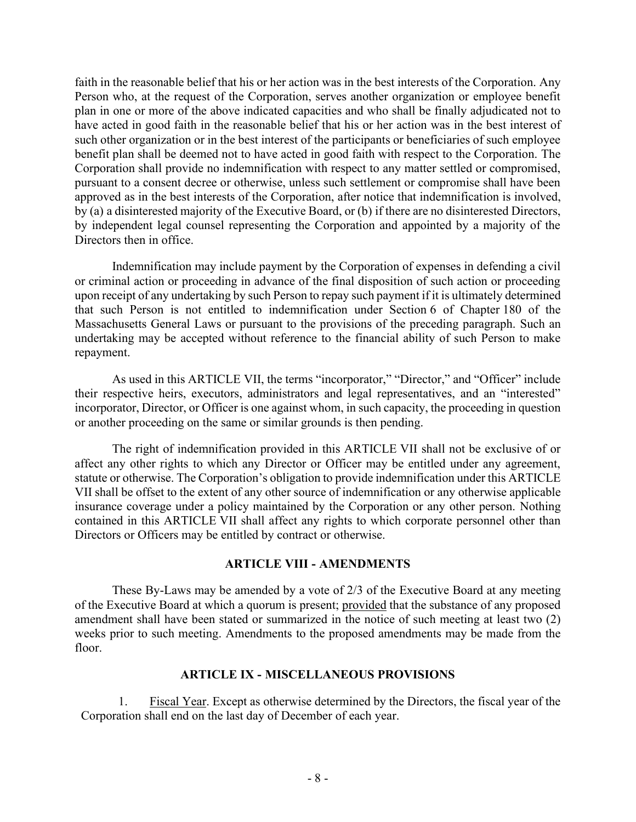faith in the reasonable belief that his or her action was in the best interests of the Corporation. Any Person who, at the request of the Corporation, serves another organization or employee benefit plan in one or more of the above indicated capacities and who shall be finally adjudicated not to have acted in good faith in the reasonable belief that his or her action was in the best interest of such other organization or in the best interest of the participants or beneficiaries of such employee benefit plan shall be deemed not to have acted in good faith with respect to the Corporation. The Corporation shall provide no indemnification with respect to any matter settled or compromised, pursuant to a consent decree or otherwise, unless such settlement or compromise shall have been approved as in the best interests of the Corporation, after notice that indemnification is involved, by (a) a disinterested majority of the Executive Board, or (b) if there are no disinterested Directors, by independent legal counsel representing the Corporation and appointed by a majority of the Directors then in office.

Indemnification may include payment by the Corporation of expenses in defending a civil or criminal action or proceeding in advance of the final disposition of such action or proceeding upon receipt of any undertaking by such Person to repay such payment if it is ultimately determined that such Person is not entitled to indemnification under Section 6 of Chapter 180 of the Massachusetts General Laws or pursuant to the provisions of the preceding paragraph. Such an undertaking may be accepted without reference to the financial ability of such Person to make repayment.

As used in this ARTICLE VII, the terms "incorporator," "Director," and "Officer" include their respective heirs, executors, administrators and legal representatives, and an "interested" incorporator, Director, or Officer is one against whom, in such capacity, the proceeding in question or another proceeding on the same or similar grounds is then pending.

The right of indemnification provided in this ARTICLE VII shall not be exclusive of or affect any other rights to which any Director or Officer may be entitled under any agreement, statute or otherwise. The Corporation's obligation to provide indemnification under this ARTICLE VII shall be offset to the extent of any other source of indemnification or any otherwise applicable insurance coverage under a policy maintained by the Corporation or any other person. Nothing contained in this ARTICLE VII shall affect any rights to which corporate personnel other than Directors or Officers may be entitled by contract or otherwise.

#### **ARTICLE VIII - AMENDMENTS**

These By-Laws may be amended by a vote of 2/3 of the Executive Board at any meeting of the Executive Board at which a quorum is present; provided that the substance of any proposed amendment shall have been stated or summarized in the notice of such meeting at least two (2) weeks prior to such meeting. Amendments to the proposed amendments may be made from the floor.

#### **ARTICLE IX - MISCELLANEOUS PROVISIONS**

1. Fiscal Year. Except as otherwise determined by the Directors, the fiscal year of the Corporation shall end on the last day of December of each year.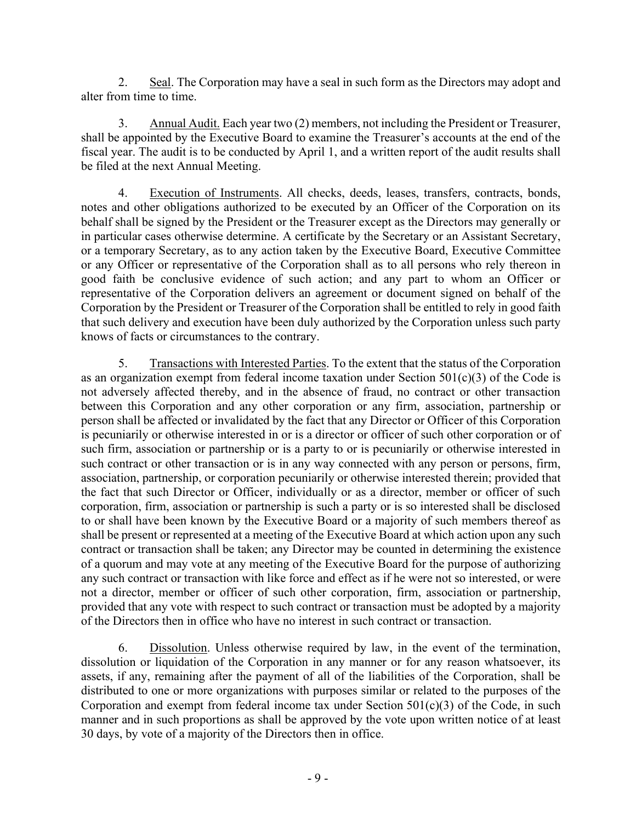2. Seal. The Corporation may have a seal in such form as the Directors may adopt and alter from time to time.

3. Annual Audit. Each year two (2) members, not including the President or Treasurer, shall be appointed by the Executive Board to examine the Treasurer's accounts at the end of the fiscal year. The audit is to be conducted by April 1, and a written report of the audit results shall be filed at the next Annual Meeting.

4. Execution of Instruments. All checks, deeds, leases, transfers, contracts, bonds, notes and other obligations authorized to be executed by an Officer of the Corporation on its behalf shall be signed by the President or the Treasurer except as the Directors may generally or in particular cases otherwise determine. A certificate by the Secretary or an Assistant Secretary, or a temporary Secretary, as to any action taken by the Executive Board, Executive Committee or any Officer or representative of the Corporation shall as to all persons who rely thereon in good faith be conclusive evidence of such action; and any part to whom an Officer or representative of the Corporation delivers an agreement or document signed on behalf of the Corporation by the President or Treasurer of the Corporation shall be entitled to rely in good faith that such delivery and execution have been duly authorized by the Corporation unless such party knows of facts or circumstances to the contrary.

5. Transactions with Interested Parties. To the extent that the status of the Corporation as an organization exempt from federal income taxation under Section 501(c)(3) of the Code is not adversely affected thereby, and in the absence of fraud, no contract or other transaction between this Corporation and any other corporation or any firm, association, partnership or person shall be affected or invalidated by the fact that any Director or Officer of this Corporation is pecuniarily or otherwise interested in or is a director or officer of such other corporation or of such firm, association or partnership or is a party to or is pecuniarily or otherwise interested in such contract or other transaction or is in any way connected with any person or persons, firm, association, partnership, or corporation pecuniarily or otherwise interested therein; provided that the fact that such Director or Officer, individually or as a director, member or officer of such corporation, firm, association or partnership is such a party or is so interested shall be disclosed to or shall have been known by the Executive Board or a majority of such members thereof as shall be present or represented at a meeting of the Executive Board at which action upon any such contract or transaction shall be taken; any Director may be counted in determining the existence of a quorum and may vote at any meeting of the Executive Board for the purpose of authorizing any such contract or transaction with like force and effect as if he were not so interested, or were not a director, member or officer of such other corporation, firm, association or partnership, provided that any vote with respect to such contract or transaction must be adopted by a majority of the Directors then in office who have no interest in such contract or transaction.

6. Dissolution. Unless otherwise required by law, in the event of the termination, dissolution or liquidation of the Corporation in any manner or for any reason whatsoever, its assets, if any, remaining after the payment of all of the liabilities of the Corporation, shall be distributed to one or more organizations with purposes similar or related to the purposes of the Corporation and exempt from federal income tax under Section 501(c)(3) of the Code, in such manner and in such proportions as shall be approved by the vote upon written notice of at least 30 days, by vote of a majority of the Directors then in office.